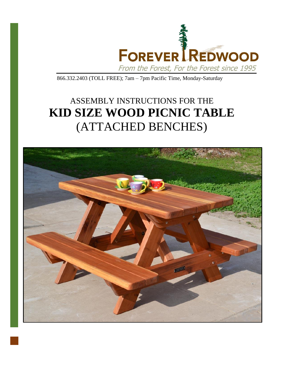

866.332.2403 (TOLL FREE); 7am – 7pm Pacific Time, Monday-Saturday

## ASSEMBLY INSTRUCTIONS FOR THE **KID SIZE WOOD PICNIC TABLE** (ATTACHED BENCHES)

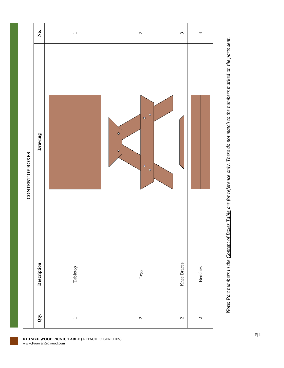

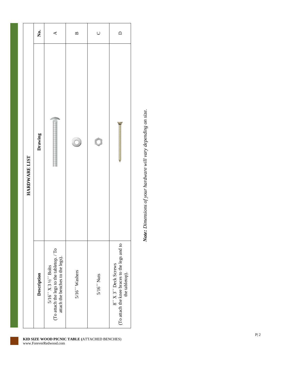|               | Ż.          | ≺                                                                                                               | $\mathbf{a}$  | $\cup$       | $\Box$                                                                                 |
|---------------|-------------|-----------------------------------------------------------------------------------------------------------------|---------------|--------------|----------------------------------------------------------------------------------------|
| HARDWARE LIST | Drawing     |                                                                                                                 |               | Q            |                                                                                        |
|               | Description | (To attach the legs to the table<br>top. / To $\,$<br>attach the benches to the legs).<br>$5/16''$ X 3 ½" Bolts | 5/16" Washers | $5/16'$ Nuts | (To attach the knee braces to the legs and to<br>8" X 3" Deck Screws<br>the tabletop). |

Note: Dimensions of your hardware will vary depending on size. *Note: Dimensions of your hardware will vary depending on size.*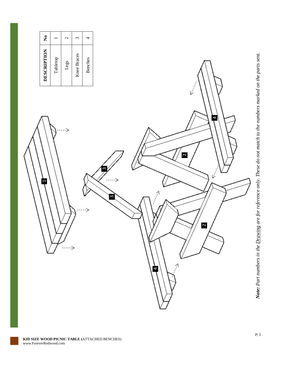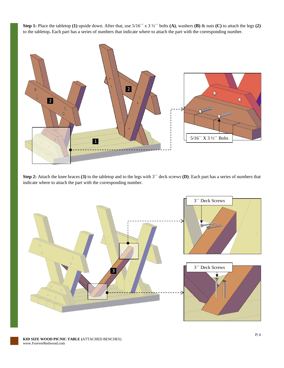**Step 1:** Place the tabletop **(1)** upside down. After that, use 5/16´´ x 3 ½´´ bolts **(A)**, washers **(B)** & nuts **(C)** to attach the legs **(2)** to the tabletop**.** Each part has a series of numbers that indicate where to attach the part with the corresponding number.



**Step 2:** Attach the knee braces **(3)** to the tabletop and to the legs with 3´´ deck screws **(D)**. Each part has a series of numbers that indicate where to attach the part with the corresponding number.

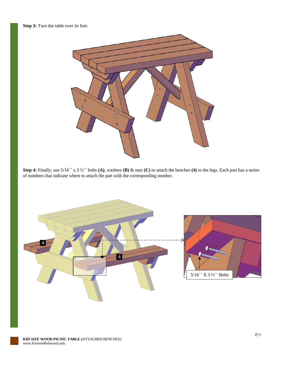

**Step 4:** Finally, use 5/16´´ x 3 ½´´ bolts **(A)**, washers **(B)** & nuts **(C)** to attach the benches **(4)** to the legs. Each part has a series of numbers that indicate where to attach the part with the corresponding number.